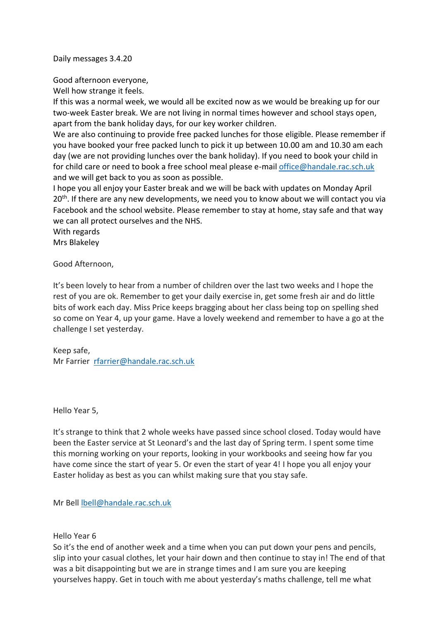Daily messages 3.4.20

Good afternoon everyone,

Well how strange it feels.

If this was a normal week, we would all be excited now as we would be breaking up for our two-week Easter break. We are not living in normal times however and school stays open, apart from the bank holiday days, for our key worker children.

We are also continuing to provide free packed lunches for those eligible. Please remember if you have booked your free packed lunch to pick it up between 10.00 am and 10.30 am each day (we are not providing lunches over the bank holiday). If you need to book your child in for child care or need to book a free school meal please e-mail [office@handale.rac.sch.uk](mailto:office@handale.rac.sch.uk) and we will get back to you as soon as possible.

I hope you all enjoy your Easter break and we will be back with updates on Monday April 20<sup>th</sup>. If there are any new developments, we need you to know about we will contact you via Facebook and the school website. Please remember to stay at home, stay safe and that way we can all protect ourselves and the NHS.

With regards Mrs Blakeley

Good Afternoon,

It's been lovely to hear from a number of children over the last two weeks and I hope the rest of you are ok. Remember to get your daily exercise in, get some fresh air and do little bits of work each day. Miss Price keeps bragging about her class being top on spelling shed so come on Year 4, up your game. Have a lovely weekend and remember to have a go at the challenge I set yesterday.

Keep safe, Mr Farrier [rfarrier@handale.rac.sch.uk](mailto:rfarrier@handale.rac.sch.uk)

Hello Year 5,

It's strange to think that 2 whole weeks have passed since school closed. Today would have been the Easter service at St Leonard's and the last day of Spring term. I spent some time this morning working on your reports, looking in your workbooks and seeing how far you have come since the start of year 5. Or even the start of year 4! I hope you all enjoy your Easter holiday as best as you can whilst making sure that you stay safe.

Mr Bell [lbell@handale.rac.sch.uk](mailto:lbell@handale.rac.sch.uk)

Hello Year 6

So it's the end of another week and a time when you can put down your pens and pencils, slip into your casual clothes, let your hair down and then continue to stay in! The end of that was a bit disappointing but we are in strange times and I am sure you are keeping yourselves happy. Get in touch with me about yesterday's maths challenge, tell me what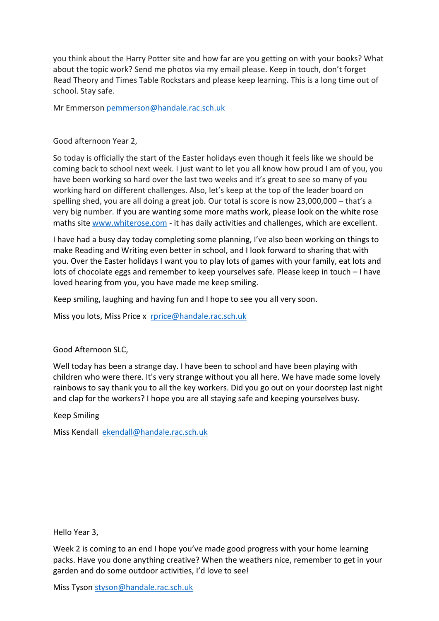you think about the Harry Potter site and how far are you getting on with your books? What about the topic work? Send me photos via my email please. Keep in touch, don't forget Read Theory and Times Table Rockstars and please keep learning. This is a long time out of school. Stay safe.

Mr Emmerson [pemmerson@handale.rac.sch.uk](mailto:pemmerson@handale.rac.sch.uk)

Good afternoon Year 2,

So today is officially the start of the Easter holidays even though it feels like we should be coming back to school next week. I just want to let you all know how proud I am of you, you have been working so hard over the last two weeks and it's great to see so many of you working hard on different challenges. Also, let's keep at the top of the leader board on spelling shed, you are all doing a great job. Our total is score is now 23,000,000 – that's a very big number. If you are wanting some more maths work, please look on the white rose maths site [www.whiterose.com](http://www.whiterose.com/) - it has daily activities and challenges, which are excellent.

I have had a busy day today completing some planning, I've also been working on things to make Reading and Writing even better in school, and I look forward to sharing that with you. Over the Easter holidays I want you to play lots of games with your family, eat lots and lots of chocolate eggs and remember to keep yourselves safe. Please keep in touch – I have loved hearing from you, you have made me keep smiling.

Keep smiling, laughing and having fun and I hope to see you all very soon.

Miss you lots, Miss Price x [rprice@handale.rac.sch.uk](mailto:rprice@handale.rac.sch.uk)

Good Afternoon SLC,

Well today has been a strange day. I have been to school and have been playing with children who were there. It's very strange without you all here. We have made some lovely rainbows to say thank you to all the key workers. Did you go out on your doorstep last night and clap for the workers? I hope you are all staying safe and keeping yourselves busy.

Keep Smiling

Miss Kendall [ekendall@handale.rac.sch.uk](mailto:ekendall@handale.rac.sch.uk)

Hello Year 3,

Week 2 is coming to an end I hope you've made good progress with your home learning packs. Have you done anything creative? When the weathers nice, remember to get in your garden and do some outdoor activities, I'd love to see!

Miss Tyson [styson@handale.rac.sch.uk](mailto:styson@handale.rac.sch.uk)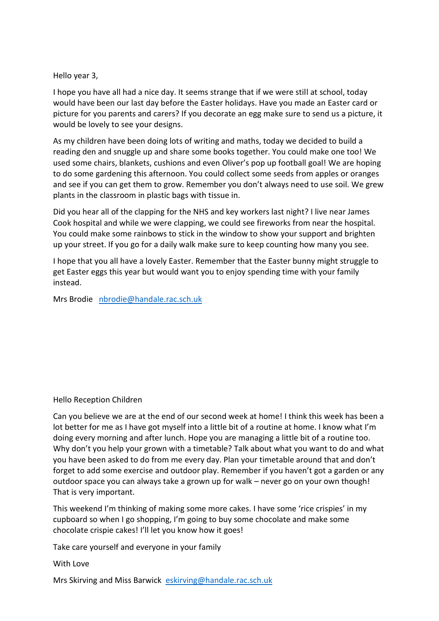# Hello year 3,

I hope you have all had a nice day. It seems strange that if we were still at school, today would have been our last day before the Easter holidays. Have you made an Easter card or picture for you parents and carers? If you decorate an egg make sure to send us a picture, it would be lovely to see your designs.

As my children have been doing lots of writing and maths, today we decided to build a reading den and snuggle up and share some books together. You could make one too! We used some chairs, blankets, cushions and even Oliver's pop up football goal! We are hoping to do some gardening this afternoon. You could collect some seeds from apples or oranges and see if you can get them to grow. Remember you don't always need to use soil. We grew plants in the classroom in plastic bags with tissue in.

Did you hear all of the clapping for the NHS and key workers last night? I live near James Cook hospital and while we were clapping, we could see fireworks from near the hospital. You could make some rainbows to stick in the window to show your support and brighten up your street. If you go for a daily walk make sure to keep counting how many you see.

I hope that you all have a lovely Easter. Remember that the Easter bunny might struggle to get Easter eggs this year but would want you to enjoy spending time with your family instead.

Mrs Brodie [nbrodie@handale.rac.sch.uk](mailto:nbrodie@handale.rac.sch.uk)

# Hello Reception Children

Can you believe we are at the end of our second week at home! I think this week has been a lot better for me as I have got myself into a little bit of a routine at home. I know what I'm doing every morning and after lunch. Hope you are managing a little bit of a routine too. Why don't you help your grown with a timetable? Talk about what you want to do and what you have been asked to do from me every day. Plan your timetable around that and don't forget to add some exercise and outdoor play. Remember if you haven't got a garden or any outdoor space you can always take a grown up for walk – never go on your own though! That is very important.

This weekend I'm thinking of making some more cakes. I have some 'rice crispies' in my cupboard so when I go shopping, I'm going to buy some chocolate and make some chocolate crispie cakes! I'll let you know how it goes!

Take care yourself and everyone in your family

# With Love

Mrs Skirving and Miss Barwick [eskirving@handale.rac.sch.uk](mailto:eskirving@handale.rac.sch.uk)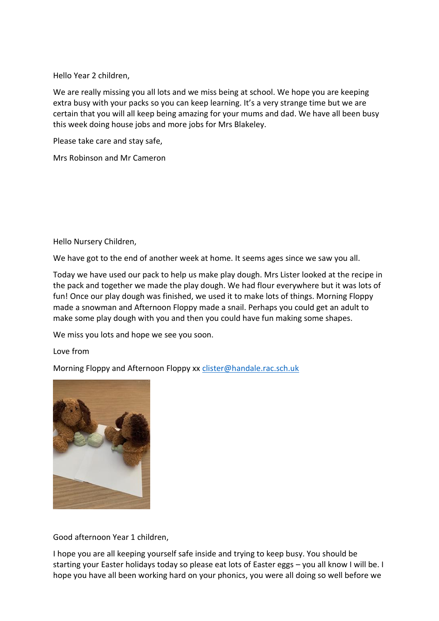Hello Year 2 children,

We are really missing you all lots and we miss being at school. We hope you are keeping extra busy with your packs so you can keep learning. It's a very strange time but we are certain that you will all keep being amazing for your mums and dad. We have all been busy this week doing house jobs and more jobs for Mrs Blakeley.

Please take care and stay safe,

Mrs Robinson and Mr Cameron

Hello Nursery Children,

We have got to the end of another week at home. It seems ages since we saw you all.

Today we have used our pack to help us make play dough. Mrs Lister looked at the recipe in the pack and together we made the play dough. We had flour everywhere but it was lots of fun! Once our play dough was finished, we used it to make lots of things. Morning Floppy made a snowman and Afternoon Floppy made a snail. Perhaps you could get an adult to make some play dough with you and then you could have fun making some shapes.

We miss you lots and hope we see you soon.

Love from

Morning Floppy and Afternoon Floppy xx [clister@handale.rac.sch.uk](mailto:clister@handale.rac.sch.uk)



Good afternoon Year 1 children,

I hope you are all keeping yourself safe inside and trying to keep busy. You should be starting your Easter holidays today so please eat lots of Easter eggs – you all know I will be. I hope you have all been working hard on your phonics, you were all doing so well before we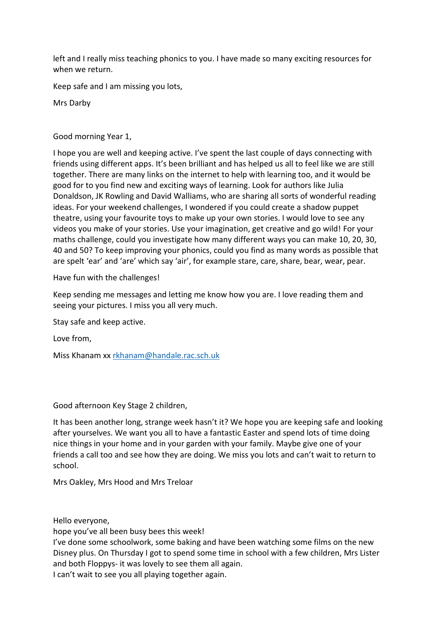left and I really miss teaching phonics to you. I have made so many exciting resources for when we return.

Keep safe and I am missing you lots,

Mrs Darby

Good morning Year 1,

I hope you are well and keeping active. I've spent the last couple of days connecting with friends using different apps. It's been brilliant and has helped us all to feel like we are still together. There are many links on the internet to help with learning too, and it would be good for to you find new and exciting ways of learning. Look for authors like Julia Donaldson, JK Rowling and David Walliams, who are sharing all sorts of wonderful reading ideas. For your weekend challenges, I wondered if you could create a shadow puppet theatre, using your favourite toys to make up your own stories. I would love to see any videos you make of your stories. Use your imagination, get creative and go wild! For your maths challenge, could you investigate how many different ways you can make 10, 20, 30, 40 and 50? To keep improving your phonics, could you find as many words as possible that are spelt 'ear' and 'are' which say 'air', for example stare, care, share, bear, wear, pear.

Have fun with the challenges!

Keep sending me messages and letting me know how you are. I love reading them and seeing your pictures. I miss you all very much.

Stay safe and keep active.

Love from,

Miss Khanam xx [rkhanam@handale.rac.sch.uk](mailto:rkhanam@handale.rac.sch.uk)

Good afternoon Key Stage 2 children,

It has been another long, strange week hasn't it? We hope you are keeping safe and looking after yourselves. We want you all to have a fantastic Easter and spend lots of time doing nice things in your home and in your garden with your family. Maybe give one of your friends a call too and see how they are doing. We miss you lots and can't wait to return to school.

Mrs Oakley, Mrs Hood and Mrs Treloar

Hello everyone,

hope you've all been busy bees this week!

I've done some schoolwork, some baking and have been watching some films on the new Disney plus. On Thursday I got to spend some time in school with a few children, Mrs Lister and both Floppys- it was lovely to see them all again.

I can't wait to see you all playing together again.